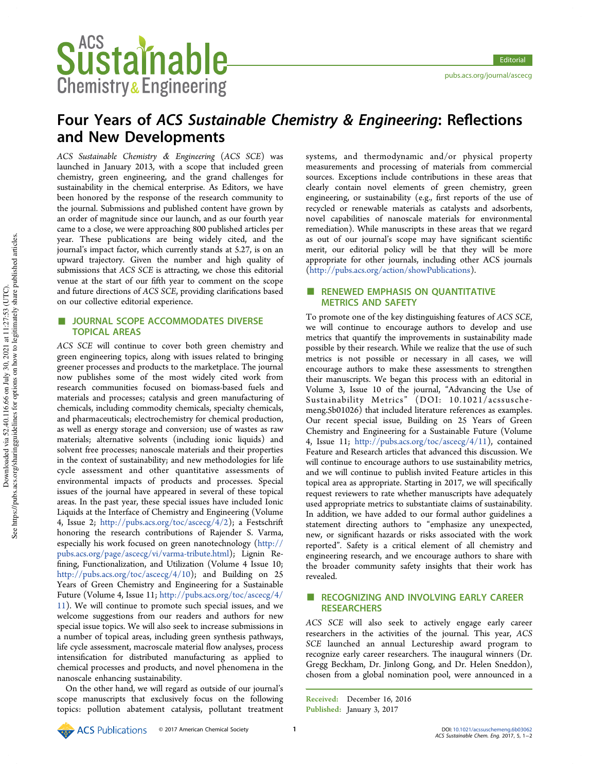# Four Years of ACS Sustainable Chemistry & Engineering: Reflections and New Developments

ACS Sustainable Chemistry & Engineering (ACS SCE) was launched in January 2013, with a scope that included green chemistry, green engineering, and the grand challenges for sustainability in the chemical enterprise. As Editors, we have been honored by the response of the research community to the journal. Submissions and published content have grown by an order of magnitude since our launch, and as our fourth year came to a close, we were approaching 800 published articles per year. These publications are being widely cited, and the journal's impact factor, which currently stands at 5.27, is on an upward trajectory. Given the number and high quality of submissions that ACS SCE is attracting, we chose this editorial venue at the start of our fifth year to comment on the scope and future directions of ACS SCE, providing clarifications based on our collective editorial experience.

# JOURNAL SCOPE ACCOMMODATES DIVERSE TOPICAL AREAS

ACS SCE will continue to cover both green chemistry and green engineering topics, along with issues related to bringing greener processes and products to the marketplace. The journal now publishes some of the most widely cited work from research communities focused on biomass-based fuels and materials and processes; catalysis and green manufacturing of chemicals, including commodity chemicals, specialty chemicals, and pharmaceuticals; electrochemistry for chemical production, as well as energy storage and conversion; use of wastes as raw materials; alternative solvents (including ionic liquids) and solvent free processes; nanoscale materials and their properties in the context of sustainability; and new methodologies for life cycle assessment and other quantitative assessments of environmental impacts of products and processes. Special issues of the journal have appeared in several of these topical areas. In the past year, these special issues have included Ionic Liquids at the Interface of Chemistry and Engineering (Volume 4, Issue 2; http://pubs.acs.org/toc/ascecg/4/2); a Festschrift honoring the research contributions of Rajender S. Varma, especially his work focused on green nanotechnology (http:// pubs.acs.org/page/ascecg/vi/varma-tribute.html); Lignin Refining, Functionalization, and Utilization (Volume 4 Issue 10; http://pubs.acs.org/toc/ascecg/4/10); and Building on 25 Years of Green Chemistry and Engineering for a Sustainable Future (Volume 4, Issue 11; http://pubs.acs.org/toc/ascecg/4/ 11). We will continue to promote such special issues, and we welcome suggestions from our readers and authors for new special issue topics. We will also seek to increase submissions in a number of topical areas, including green synthesis pathways, life cycle assessment, macroscale material flow analyses, process intensification for distributed manufacturing as applied to chemical processes and products, and novel phenomena in the nanoscale enhancing sustainability.

On the other hand, we will regard as outside of our journal's scope manuscripts that exclusively focus on the following topics: pollution abatement catalysis, pollutant treatment

systems, and thermodynamic and/or physical property measurements and processing of materials from commercial sources. Exceptions include contributions in these areas that clearly contain novel elements of green chemistry, green engineering, or sustainability (e.g., first reports of the use of recycled or renewable materials as catalysts and adsorbents, novel capabilities of nanoscale materials for environmental remediation). While manuscripts in these areas that we regard as out of our journal's scope may have significant scientific merit, our editorial policy will be that they will be more appropriate for other journals, including other ACS journals (http://pubs.acs.org/action/showPublications).

## ■ RENEWED EMPHASIS ON OUANTITATIVE METRICS AND SAFETY

To promote one of the key distinguishing features of ACS SCE, we will continue to encourage authors to develop and use metrics that quantify the improvements in sustainability made possible by their research. While we realize that the use of such metrics is not possible or necessary in all cases, we will encourage authors to make these assessments to strengthen their manuscripts. We began this process with an editorial in Volume 3, Issue 10 of the journal, "Advancing the Use of Sustainability Metrics" (DOI: 10.1021/acssuschemeng.5b01026) that included literature references as examples. Our recent special issue, Building on 25 Years of Green Chemistry and Engineering for a Sustainable Future (Volume 4, Issue 11; http://pubs.acs.org/toc/ascecg/4/11), contained Feature and Research articles that advanced this discussion. We will continue to encourage authors to use sustainability metrics, and we will continue to publish invited Feature articles in this topical area as appropriate. Starting in 2017, we will specifically request reviewers to rate whether manuscripts have adequately used appropriate metrics to substantiate claims of sustainability. In addition, we have added to our formal author guidelines a statement directing authors to "emphasize any unexpected, new, or significant hazards or risks associated with the work reported". Safety is a critical element of all chemistry and engineering research, and we encourage authors to share with the broader community safety insights that their work has revealed.

## ■ RECOGNIZING AND INVOLVING EARLY CAREER **RESEARCHERS**

ACS SCE will also seek to actively engage early career researchers in the activities of the journal. This year, ACS SCE launched an annual Lectureship award program to recognize early career researchers. The inaugural winners (Dr. Gregg Beckham, Dr. Jinlong Gong, and Dr. Helen Sneddon), chosen from a global nomination pool, were announced in a

Received: December 16, 2016 Published: January 3, 2017